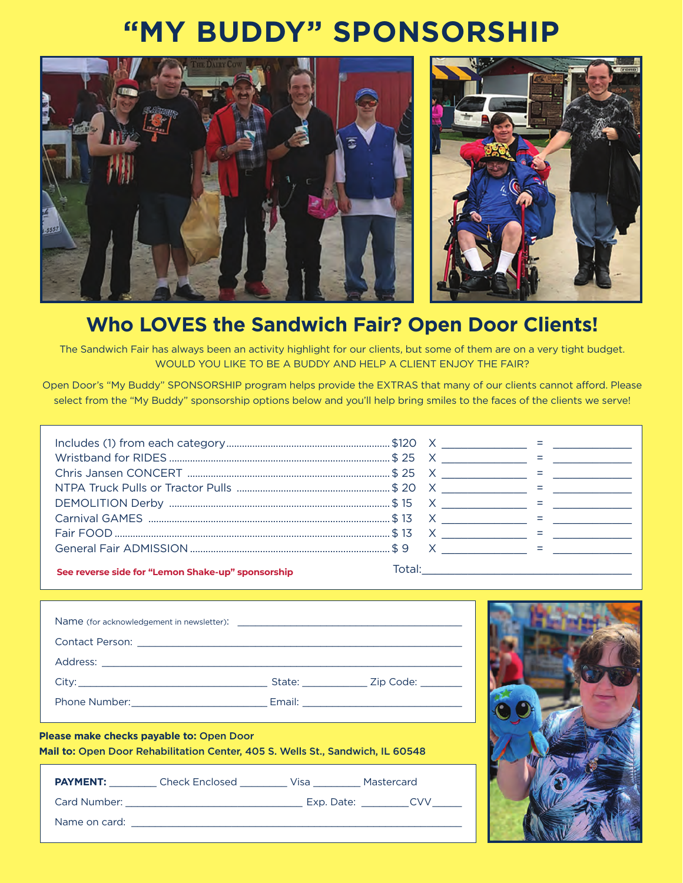## **"MY BUDDY" SPONSORSHIP**



## **Who LOVES the Sandwich Fair? Open Door Clients!**

The Sandwich Fair has always been an activity highlight for our clients, but some of them are on a very tight budget. WOULD YOU LIKE TO BE A BUDDY AND HELP A CLIENT ENJOY THE FAIR?

Open Door's "My Buddy" SPONSORSHIP program helps provide the EXTRAS that many of our clients cannot afford. Please select from the "My Buddy" sponsorship options below and you'll help bring smiles to the faces of the clients we serve!

|                                                   | $\mathsf{X}$ and $\mathsf{X}$ and $\mathsf{X}$ are $\mathsf{X}$ and $\mathsf{X}$ and $\mathsf{X}$ are $\mathsf{X}$ and $\mathsf{X}$ are $\mathsf{X}$ and $\mathsf{X}$ are $\mathsf{X}$ and $\mathsf{X}$ are $\mathsf{X}$ and $\mathsf{X}$ are $\mathsf{X}$ and $\mathsf{X}$ are $\mathsf{X}$ are |  |
|---------------------------------------------------|--------------------------------------------------------------------------------------------------------------------------------------------------------------------------------------------------------------------------------------------------------------------------------------------------|--|
| See reverse side for "Lemon Shake-up" sponsorship | Total: the contract of the contract of the contract of the contract of the contract of the contract of the contract of the contract of the contract of the contract of the contract of the contract of the contract of the con                                                                   |  |

| Please make checks payable to: Open Door | Mail to: Open Door Rehabilitation Center, 405 S. Wells St., Sandwich, IL 60548 |  |  |
|------------------------------------------|--------------------------------------------------------------------------------|--|--|
|                                          | PAYMENT: Check Enclosed __________ Visa _________ Mastercard                   |  |  |
|                                          |                                                                                |  |  |
|                                          |                                                                                |  |  |